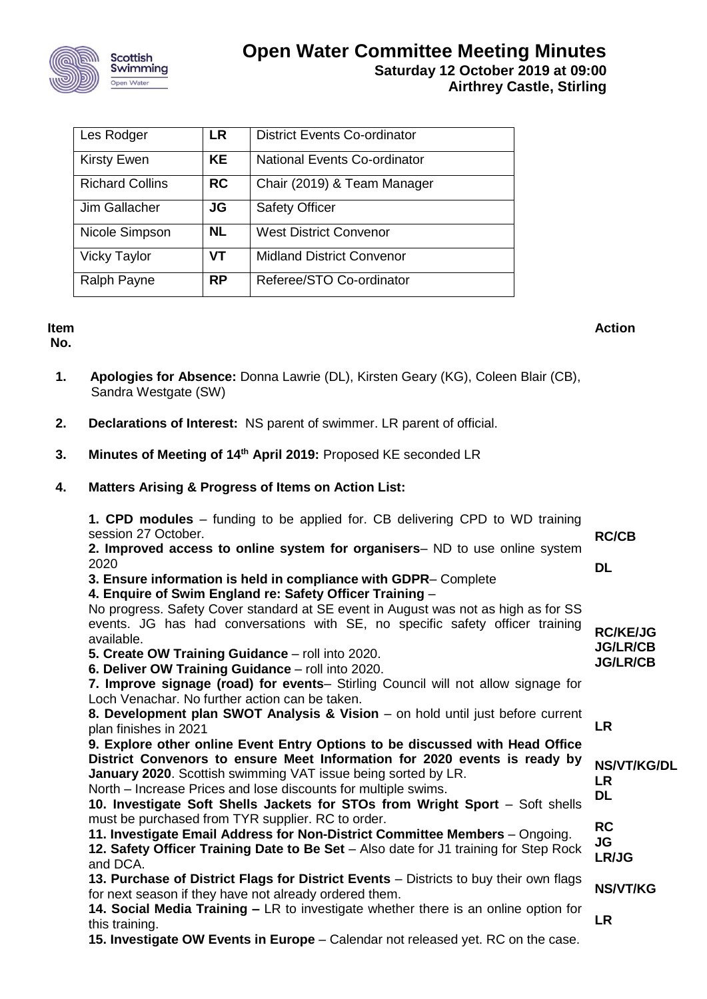

| Les Rodger             | LR        | <b>District Events Co-ordinator</b> |
|------------------------|-----------|-------------------------------------|
| <b>Kirsty Ewen</b>     | <b>KE</b> | National Events Co-ordinator        |
| <b>Richard Collins</b> | <b>RC</b> | Chair (2019) & Team Manager         |
| Jim Gallacher          | JG        | <b>Safety Officer</b>               |
| Nicole Simpson         | <b>NL</b> | <b>West District Convenor</b>       |
| <b>Vicky Taylor</b>    | <b>VT</b> | <b>Midland District Convenor</b>    |
| Ralph Payne            | <b>RP</b> | Referee/STO Co-ordinator            |

## **Item**

**No.**

- 1. **Apologies for Absence:** Donna Lawrie (DL), Kirsten Geary (KG), Coleen Blair (CB), Sandra Westgate (SW)
- **2. Declarations of Interest:** NS parent of swimmer. LR parent of official.
- **3. Minutes of Meeting of 14th April 2019:** Proposed KE seconded LR
- **4. Matters Arising & Progress of Items on Action List:**

| <b>1. CPD modules</b> – funding to be applied for. CB delivering CPD to WD training<br>session 27 October.<br>2. Improved access to online system for organisers- ND to use online system<br>2020<br>3. Ensure information is held in compliance with GDPR-Complete<br>4. Enquire of Swim England re: Safety Officer Training -                                                 | <b>RC/CB</b><br>DL                                    |
|---------------------------------------------------------------------------------------------------------------------------------------------------------------------------------------------------------------------------------------------------------------------------------------------------------------------------------------------------------------------------------|-------------------------------------------------------|
| No progress. Safety Cover standard at SE event in August was not as high as for SS<br>events. JG has had conversations with SE, no specific safety officer training<br>available.<br>5. Create OW Training Guidance - roll into 2020.<br>6. Deliver OW Training Guidance - roll into 2020.<br>7. Improve signage (road) for events- Stirling Council will not allow signage for | <b>RC/KE/JG</b><br><b>JG/LR/CB</b><br><b>JG/LR/CB</b> |
| Loch Venachar. No further action can be taken.<br>8. Development plan SWOT Analysis & Vision – on hold until just before current<br>plan finishes in 2021<br>9. Explore other online Event Entry Options to be discussed with Head Office<br>District Convenors to ensure Meet Information for 2020 events is ready by                                                          | <b>LR</b><br><b>NS/VT/KG/DL</b>                       |
| January 2020. Scottish swimming VAT issue being sorted by LR.<br>North – Increase Prices and lose discounts for multiple swims.<br>10. Investigate Soft Shells Jackets for STOs from Wright Sport - Soft shells<br>must be purchased from TYR supplier. RC to order.                                                                                                            | <b>LR</b><br><b>DL</b>                                |
| 11. Investigate Email Address for Non-District Committee Members - Ongoing.<br>12. Safety Officer Training Date to Be Set - Also date for J1 training for Step Rock<br>and DCA.                                                                                                                                                                                                 | <b>RC</b><br>JG<br>LR/JG                              |
| 13. Purchase of District Flags for District Events - Districts to buy their own flags<br>for next season if they have not already ordered them.<br>14. Social Media Training – LR to investigate whether there is an online option for<br>this training.                                                                                                                        | <b>NS/VT/KG</b><br><b>LR</b>                          |
| 15. Investigate OW Events in Europe – Calendar not released yet. RC on the case.                                                                                                                                                                                                                                                                                                |                                                       |

**Action**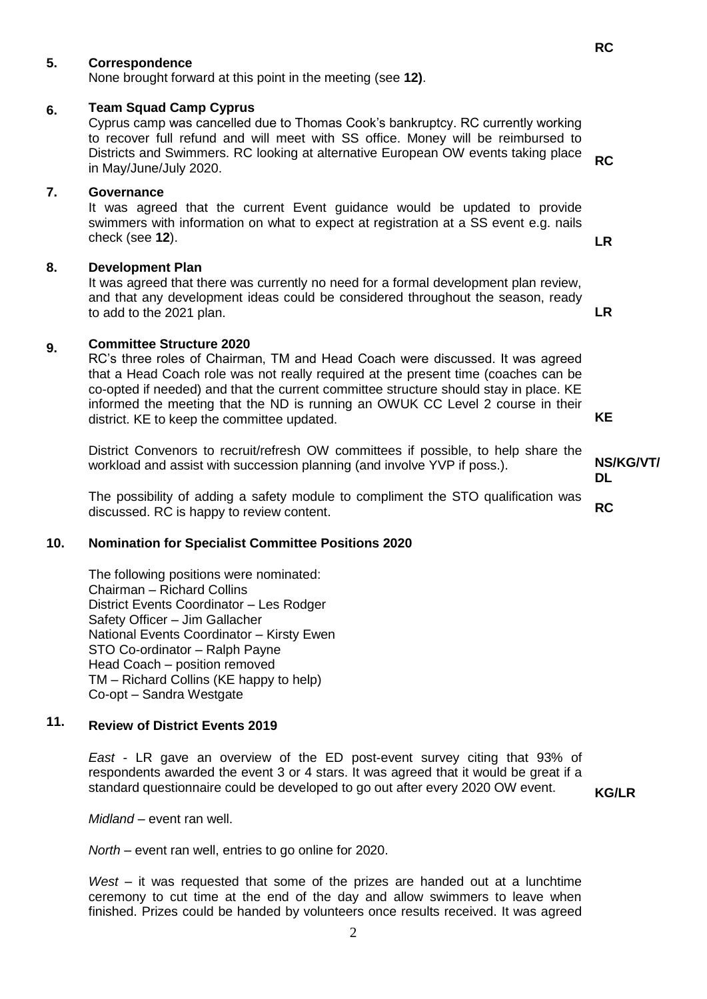#### **5. Correspondence**

None brought forward at this point in the meeting (see **12)**.

#### **6. Team Squad Camp Cyprus**

Cyprus camp was cancelled due to Thomas Cook's bankruptcy. RC currently working to recover full refund and will meet with SS office. Money will be reimbursed to Districts and Swimmers. RC looking at alternative European OW events taking place in May/June/July 2020. **RC**

## **7. Governance**

It was agreed that the current Event guidance would be updated to provide swimmers with information on what to expect at registration at a SS event e.g. nails check (see **12**). **LR**

#### **8. Development Plan**

It was agreed that there was currently no need for a formal development plan review, and that any development ideas could be considered throughout the season, ready to add to the 2021 plan.

#### **9. Committee Structure 2020**

RC's three roles of Chairman, TM and Head Coach were discussed. It was agreed that a Head Coach role was not really required at the present time (coaches can be co-opted if needed) and that the current committee structure should stay in place. KE informed the meeting that the ND is running an OWUK CC Level 2 course in their district. KE to keep the committee updated.

District Convenors to recruit/refresh OW committees if possible, to help share the workload and assist with succession planning (and involve YVP if poss.).

The possibility of adding a safety module to compliment the STO qualification was discussed. RC is happy to review content. **RC**

#### **10. Nomination for Specialist Committee Positions 2020**

The following positions were nominated: Chairman – Richard Collins District Events Coordinator – Les Rodger Safety Officer – Jim Gallacher National Events Coordinator – Kirsty Ewen STO Co-ordinator – Ralph Payne Head Coach – position removed TM – Richard Collins (KE happy to help) Co-opt – Sandra Westgate

#### **11. Review of District Events 2019**

*East* - LR gave an overview of the ED post-event survey citing that 93% of respondents awarded the event 3 or 4 stars. It was agreed that it would be great if a standard questionnaire could be developed to go out after every 2020 OW event.

**KG/LR**

*Midland* – event ran well.

*North* – event ran well, entries to go online for 2020.

*West* – it was requested that some of the prizes are handed out at a lunchtime ceremony to cut time at the end of the day and allow swimmers to leave when finished. Prizes could be handed by volunteers once results received. It was agreed

**NS/KG/VT/ DL**

**KE**

**LR**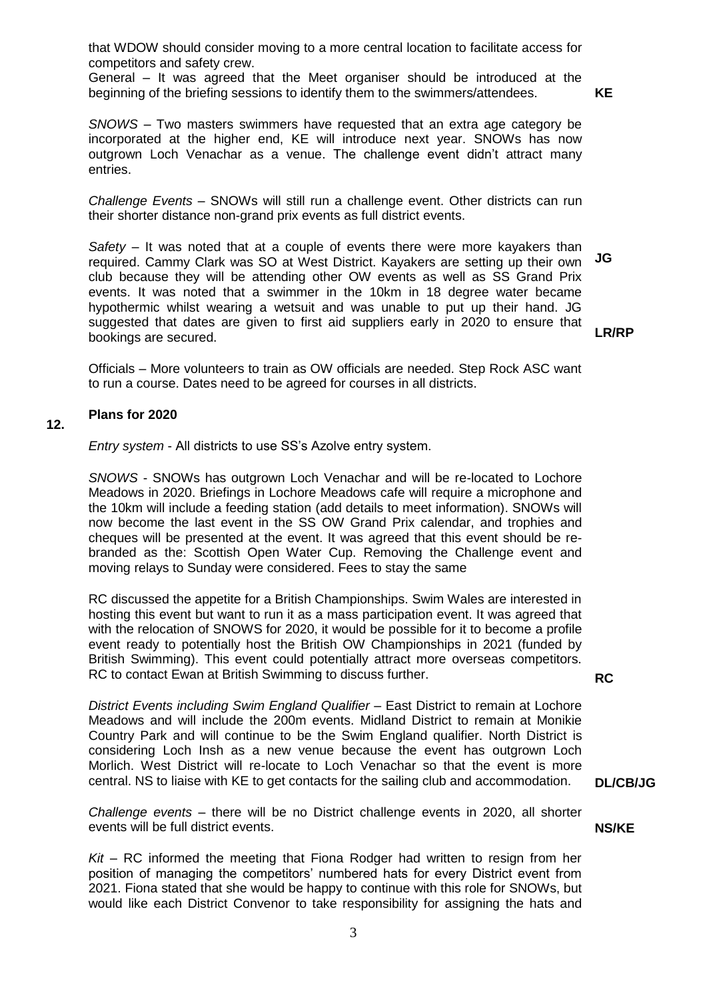that WDOW should consider moving to a more central location to facilitate access for competitors and safety crew.

General – It was agreed that the Meet organiser should be introduced at the beginning of the briefing sessions to identify them to the swimmers/attendees.

**KE**

*SNOWS* – Two masters swimmers have requested that an extra age category be incorporated at the higher end, KE will introduce next year. SNOWs has now outgrown Loch Venachar as a venue. The challenge event didn't attract many entries.

*Challenge Events* – SNOWs will still run a challenge event. Other districts can run their shorter distance non-grand prix events as full district events.

*Safety* – It was noted that at a couple of events there were more kayakers than required. Cammy Clark was SO at West District. Kayakers are setting up their own club because they will be attending other OW events as well as SS Grand Prix events. It was noted that a swimmer in the 10km in 18 degree water became hypothermic whilst wearing a wetsuit and was unable to put up their hand. JG suggested that dates are given to first aid suppliers early in 2020 to ensure that bookings are secured. **JG**

**LR/RP**

Officials – More volunteers to train as OW officials are needed. Step Rock ASC want to run a course. Dates need to be agreed for courses in all districts.

### **12. Plans for 2020**

*Entry system* - All districts to use SS's Azolve entry system.

*SNOWS* - SNOWs has outgrown Loch Venachar and will be re-located to Lochore Meadows in 2020. Briefings in Lochore Meadows cafe will require a microphone and the 10km will include a feeding station (add details to meet information). SNOWs will now become the last event in the SS OW Grand Prix calendar, and trophies and cheques will be presented at the event. It was agreed that this event should be rebranded as the: Scottish Open Water Cup. Removing the Challenge event and moving relays to Sunday were considered. Fees to stay the same

RC discussed the appetite for a British Championships. Swim Wales are interested in hosting this event but want to run it as a mass participation event. It was agreed that with the relocation of SNOWS for 2020, it would be possible for it to become a profile event ready to potentially host the British OW Championships in 2021 (funded by British Swimming). This event could potentially attract more overseas competitors. RC to contact Ewan at British Swimming to discuss further.

**RC**

**DL/CB/JG**

**NS/KE**

*District Events including Swim England Qualifier* – East District to remain at Lochore Meadows and will include the 200m events. Midland District to remain at Monikie Country Park and will continue to be the Swim England qualifier. North District is considering Loch Insh as a new venue because the event has outgrown Loch Morlich. West District will re-locate to Loch Venachar so that the event is more central. NS to liaise with KE to get contacts for the sailing club and accommodation.

*Challenge events* – there will be no District challenge events in 2020, all shorter events will be full district events.

*Kit* – RC informed the meeting that Fiona Rodger had written to resign from her position of managing the competitors' numbered hats for every District event from 2021. Fiona stated that she would be happy to continue with this role for SNOWs, but would like each District Convenor to take responsibility for assigning the hats and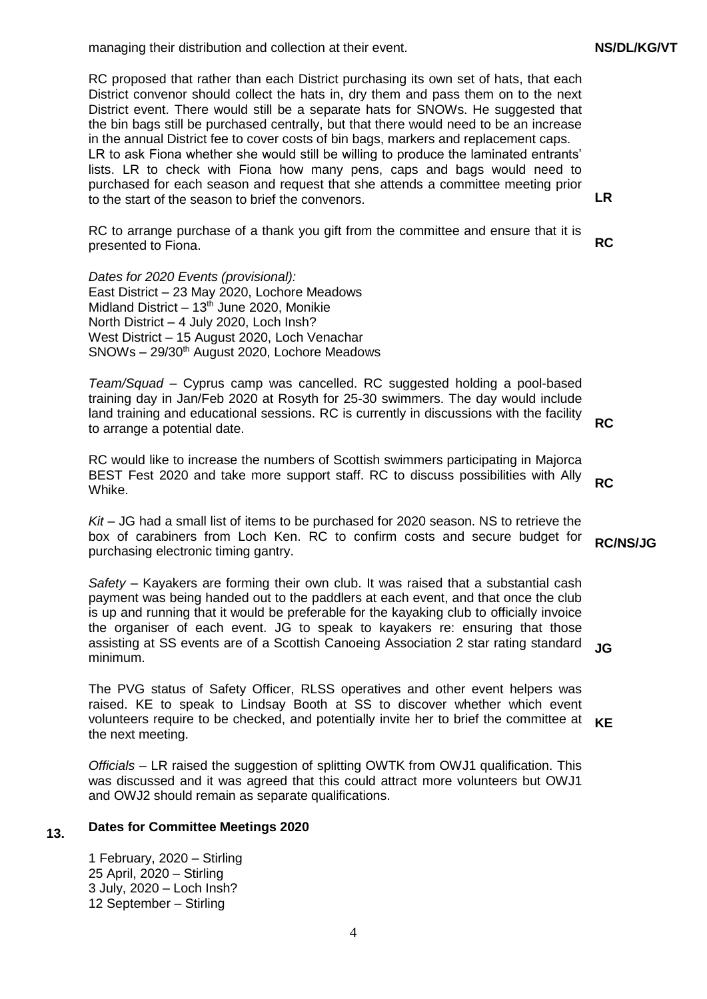managing their distribution and collection at their event.

RC proposed that rather than each District purchasing its own set of hats, that each District convenor should collect the hats in, dry them and pass them on to the next District event. There would still be a separate hats for SNOWs. He suggested that the bin bags still be purchased centrally, but that there would need to be an increase in the annual District fee to cover costs of bin bags, markers and replacement caps. LR to ask Fiona whether she would still be willing to produce the laminated entrants' lists. LR to check with Fiona how many pens, caps and bags would need to purchased for each season and request that she attends a committee meeting prior to the start of the season to brief the convenors.

RC to arrange purchase of a thank you gift from the committee and ensure that it is presented to Fiona.

*Dates for 2020 Events (provisional):* East District – 23 May 2020, Lochore Meadows Midland District –  $13<sup>th</sup>$  June 2020, Monikie North District – 4 July 2020, Loch Insh? West District – 15 August 2020, Loch Venachar SNOWs - 29/30<sup>th</sup> August 2020, Lochore Meadows

*Team/Squad* – Cyprus camp was cancelled. RC suggested holding a pool-based training day in Jan/Feb 2020 at Rosyth for 25-30 swimmers. The day would include land training and educational sessions. RC is currently in discussions with the facility to arrange a potential date.

**RC**

**RC**

**RC/NS/JG**

**LR**

**RC**

RC would like to increase the numbers of Scottish swimmers participating in Majorca BEST Fest 2020 and take more support staff. RC to discuss possibilities with Ally Whike.

*Kit* – JG had a small list of items to be purchased for 2020 season. NS to retrieve the box of carabiners from Loch Ken. RC to confirm costs and secure budget for purchasing electronic timing gantry.

*Safety* – Kayakers are forming their own club. It was raised that a substantial cash payment was being handed out to the paddlers at each event, and that once the club is up and running that it would be preferable for the kayaking club to officially invoice the organiser of each event. JG to speak to kayakers re: ensuring that those assisting at SS events are of a Scottish Canoeing Association 2 star rating standard minimum. **JG**

The PVG status of Safety Officer, RLSS operatives and other event helpers was raised. KE to speak to Lindsay Booth at SS to discover whether which event volunteers require to be checked, and potentially invite her to brief the committee at the next meeting. **KE**

*Officials* – LR raised the suggestion of splitting OWTK from OWJ1 qualification. This was discussed and it was agreed that this could attract more volunteers but OWJ1 and OWJ2 should remain as separate qualifications.

#### **13. Dates for Committee Meetings 2020**

1 February, 2020 – Stirling 25 April, 2020 – Stirling 3 July, 2020 – Loch Insh? 12 September – Stirling